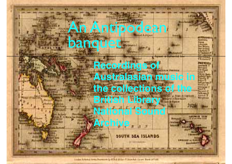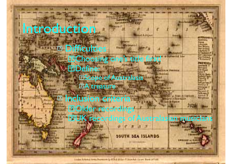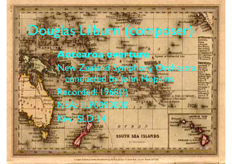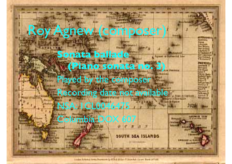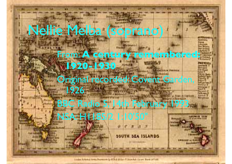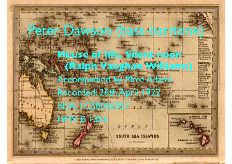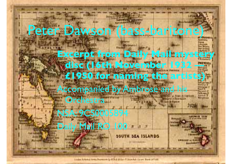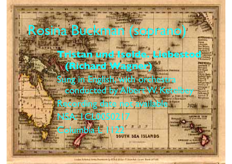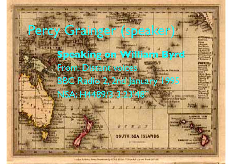## y Grainger (speaker **Speaking on William Byrd** From: Distant voices BBC Radio 2, 2nd January 1995 NSA: H4489/3 3:23'48"

inda hitaud installment in CSA Billy (Tileman Jawe Base of this

**ISEA ISLANDS**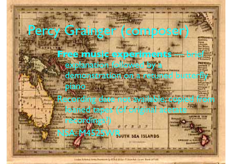## ercy Grainger (compose **Free music experiments** — brief explanation followed by a demonstration on a retuned butterfl piano Recording date not available; copied loaned tapes (of original acetate ecording SA: M4525

inda hitaud installment in Child Billy (Lincoln) from Bow infuld.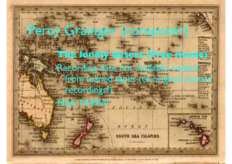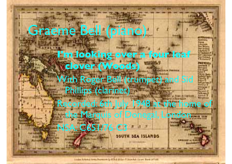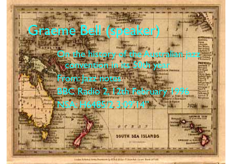## Graeme Bell (speaker)

On the history of the Australian jazz convention in its 50th yea

From: Jazz notes BBC Radio 2, 12th February 19

NSA: H6485/2 3:09'14"

**SEA ISLANDS** 

inda hitaud installment in Child Billy (Tilemher Jaum Base of Hit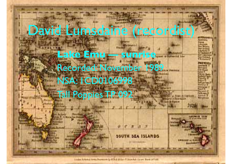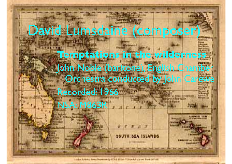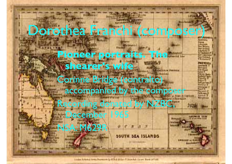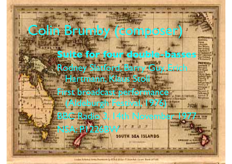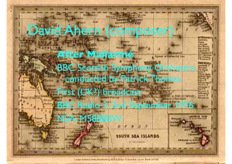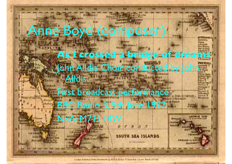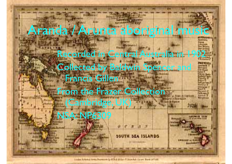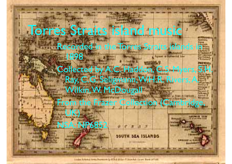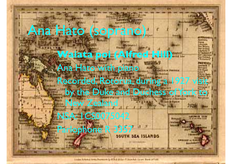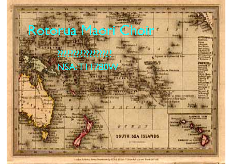